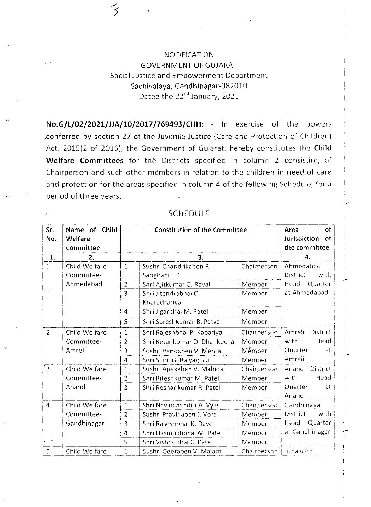NOTIFICATION GOVERNMENT OF GUJARAT Social Justice and Empowerment Department Sachivalaya, Gandhinagar-382010 Dated the 22<sup>nd</sup> January, 2021

No.G/L/02/2021/JJA/10/2017/769493/CHH: - In exercise of the powers .conferred by section 27 of the Juvenile Justice (Care and Protection of Children) Act, 2015(2 of 2016), the Government of Gujarat, hereby constitutes the Child Welfare Committees for the Districts specified in column 2 consisting of Chairperson and such other members in relation to the children in need of care and protection for the areas specified in column 4 of the fellowing Schedule, for a period of three years.

## SCHEDULE

| Sr.<br>No.     | Name of Child<br>Welfare<br>Committee | <b>Constitution of the Committee</b> |                                      |             | of<br>Area<br>Jurisdiction<br>of<br>the committee |  |
|----------------|---------------------------------------|--------------------------------------|--------------------------------------|-------------|---------------------------------------------------|--|
| $\mathbf{1}$ . | 2.                                    |                                      | $\overline{\mathbf{3}}$ .            | 4.          |                                                   |  |
| 1              | Child Welfare<br>Committee-           | 1                                    | Sushri Chandrikaben R.<br>Sanghani   | Chairperson | Ahmedabad<br>with<br>District                     |  |
|                | Ahmedabad                             | $\overline{c}$                       | Shri Ajitkumar G. Raval              | Member      | Head<br>Quarter                                   |  |
|                |                                       | 3                                    | Shri Jitendrabhai C.<br>Kharachariya | Member      | at Ahmedabad                                      |  |
|                |                                       | $\overline{4}$                       | Shri Jigarbhai M. Patel              | Member      |                                                   |  |
|                |                                       | 5                                    | Shri Sureshkumar B. Patva            | Member      |                                                   |  |
| $\overline{2}$ | Child Welfare                         | 1                                    | Shri Rajeshbhai P. Kabariya          | Chairperson | District<br>Amreli                                |  |
|                | Committee-                            | 2                                    | Shri Ketankumar D. Dhankecha         | Member      | with<br>Head                                      |  |
|                | Amreli                                | 3                                    | Sushri Vandaben V. Mehta             | Member      | Quarter<br><b>at</b>                              |  |
|                |                                       | 4                                    | Shri Sunil G. Rajyaguru              | Member      | Amreli                                            |  |
| $\overline{3}$ | Child Welfare                         | 1                                    | Sushri Apexaben V. Mahida            | Chairperson | District<br>Anand                                 |  |
|                | Committee-                            | 2                                    | Shri Riteshkumar M. Patel            | Member      | Head<br>with                                      |  |
|                | Anand                                 | 3                                    | Shri Roshankumar R. Patel            | Member      | Quarter<br>at<br>Anand                            |  |
| $\overline{4}$ | Child Welfare                         | $\,1$                                | Shri Navinchandra A. Vyas            | Chairperson | Gandhinagar                                       |  |
|                | Committee-                            | $\overline{2}$                       | Sushri Pravinaben J. Vora            | Member      | District<br>with                                  |  |
|                | Gandhinagar                           | 3                                    | Shri Raseshbhai K. Dave              | Member      | Quarter<br>Head                                   |  |
|                |                                       | $\overline{4}$                       | Shri Hasmukhbhai M. Patel            | Member      | at Gandhinagar                                    |  |
|                |                                       | 5                                    | Shri Vishnubhai C. Patel             | Member      |                                                   |  |
| 5              | Child Welfare                         | $\mathbf{1}$                         | Sushri Geetaben V. Malam             | Chairperson | Junagadh                                          |  |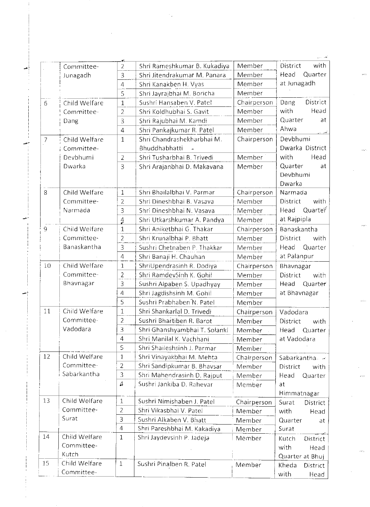|                | Committee-    | 2              | Shri Rameshkumar B. Kukadiya  | Member      | with<br>District  |
|----------------|---------------|----------------|-------------------------------|-------------|-------------------|
|                | Junagadh      | 3              | Shri Jitendrakumar M. Panara  | Member      | Quarter<br>Head   |
|                |               | 4              | Shri Kanakben H. Vyas         | Member      | at Junagadh       |
|                |               | 5              | Shri Jayrajbhai M. Boricha    | Member      |                   |
| 6              | Child Welfare | $\mathbf{1}$   | Sushri Hansaben V. Patel      | Chairperson | District<br>Dang  |
|                | Committee-    | $\overline{2}$ | Shri Koldhubhai S. Gavit      | Member      | with<br>Head      |
|                | Dang          | 3              | Shri Rajubhai M. Kamdi        | Member      | Quarter<br>at     |
|                |               | $\overline{4}$ | Shri Pankajkumar R. Patel     | Member      | Ahwa              |
| $\overline{7}$ | Child Welfare | $\mathbf{1}$   | Shri Chandrashekharbhai M.    | Chairperson | ್ಲನ್<br>Devbhumi  |
|                | Committee-    |                | Bhuddhabhatti                 |             | Dwarka District   |
|                | Devbhumi      | $\overline{2}$ | Shri Tusharbhai B. Trivedi    | Member      | with<br>Head      |
|                | Dwarka        | $\overline{3}$ | Shri Arajanbhai D. Makavana   | Member      | Quarter<br>at     |
|                |               |                |                               |             | Devbhumi          |
|                |               |                |                               |             | Dwarka            |
| 8              | Child Welfare | $\mathbf{1}$   | Shri Bhailalbhai V. Parmar    | Chairperson | Narmada           |
|                | Committee-    | $\overline{2}$ | Shri Dineshbhai B. Vasava     | Member      | District<br>with  |
|                | Narmada       | 3              | Shri Dineshbhai N. Vasava     | Member      | Quarter<br>Head   |
|                |               | $\frac{4}{2}$  | Shri Utkarshkumar A. Pandya   | Member      | at Rajpipla       |
| $\overline{9}$ | Child Welfare | $\mathbf{1}$   | Shri Aniketbhai G. Thakar     | Chairperson | Banaskantha       |
|                | Committee-    | $\overline{2}$ | Shri Krunalbhai P. Bhatt      | Member      | District<br>with  |
|                | Banaskantha   | 3              | Sushri Chetnaben P. Thakkar   | Member      | Quarter<br>Head   |
|                |               | $\overline{4}$ | Shri Banaji H. Chauhan        | Member      | at Palanpur       |
| 10             | Child Welfare | 1              | ShriUpendrasinh R. Dodiya     | Chairperson | Bhavnagar         |
|                | Committee-    | $\overline{2}$ | Shri RamdevSinh K. Gohil      | Member      | District<br>with  |
|                | Bhavnagar     | 3              | Sushri Alpaben S. Upadhyay    | Member      | Head<br>Quarter   |
|                |               | $\overline{4}$ | Shri Jagdishsinh M. Gohil     | Member      | at Bhavnagar      |
|                |               | 5              | Sushri Prabhaben N. Patel     | Member      |                   |
| 11             | Child Welfare | $\mathbf{1}$   | Shri Shankarlal D. Trivedi    | Chairperson | Vadodara          |
|                | Committee-    | 2              | Sushri Bhartiben R. Barot     | Member      | District<br>with  |
|                | Vadodara      | 3              | Shri Ghanshyambhai T. Solanki | Member      | Head<br>Quarter   |
|                |               | $\overline{4}$ | Shri Manilal K. Vachhani      | Member      | at Vadodara       |
|                |               | 5              | Shri Shaileshsinh J. Parmar   | Member      |                   |
| 12             | Child Welfare | 1              | Shri Vinayakbhai M. Mehta     | Chairperson | Sabarkantha ~~    |
|                | Committee-    | $\overline{2}$ | Shri Sandipkumar B. Bhavsar   | Member      | District<br>with  |
|                | Sabarkantha   | 3              | Shri Mahendrasinh D. Rajput   | Member      | Head<br>Quarter   |
|                |               | Д              | Sushri Jankiba D. Rahevar     | Member      | at<br>Himmatnagar |
| 13             | Child Welfare | $\mathbf 1$    | Sushri Nimishaben J. Patel    | Chairperson | Surat<br>District |
|                | Committee-    | $\overline{2}$ | Shri Vikasbhai V. Patel       | Member      | with<br>Head      |
|                | Surat         | 3              | Sushri Alkaben V. Bhatt       | Member      | Quarter<br>at     |
|                |               | $\overline{4}$ | Shri Pareshbhai M. Kakadiya   | Member      | Surat             |
| 14             | Child Welfare | $\mathbf{1}$   | Shri Jaydevsinh P. Jadeja     | Member      | Kutch<br>District |
|                | Committee-    |                |                               |             | with<br>Head      |
|                | Kutch         |                |                               |             | Quarter at Bhuj   |
| 15             | Child Welfare | $\mathbf{1}$   | Sushri Pinalben R. Patel      | Member      | Kheda<br>District |
|                | Committee-    |                |                               |             | with<br>Head      |

 $\label{eq:2} \frac{1}{2} \sum_{i=1}^n \frac{1}{2} \sum_{i=1}^n \frac{1}{2} \sum_{i=1}^n \frac{1}{2} \sum_{i=1}^n \frac{1}{2} \sum_{i=1}^n \frac{1}{2} \sum_{i=1}^n \frac{1}{2} \sum_{i=1}^n \frac{1}{2} \sum_{i=1}^n \frac{1}{2} \sum_{i=1}^n \frac{1}{2} \sum_{i=1}^n \frac{1}{2} \sum_{i=1}^n \frac{1}{2} \sum_{i=1}^n \frac{1}{2} \sum_{i=1}^n \frac{1}{$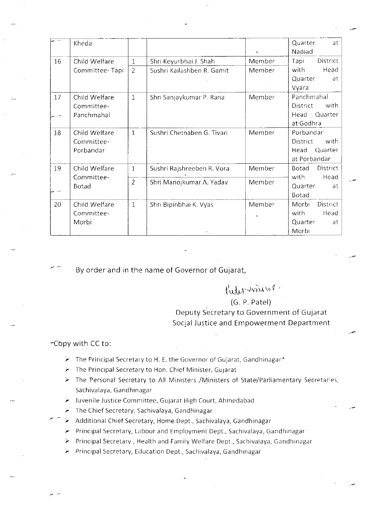|    | Kheda                                     |                |                            | $\tilde{\phantom{a}}$ | Quarter<br>at<br>Nadiad                                               |
|----|-------------------------------------------|----------------|----------------------------|-----------------------|-----------------------------------------------------------------------|
| 16 | Child Welfare                             | $\mathbf{1}$   | Shri Keyurbhai J. Shah     | Member                | Tapi<br>District                                                      |
|    | Committee-Tapi                            | $\overline{2}$ | Sushri Kailashben R. Gamit | Member                | with<br>Head<br>Quarter<br>at<br>Vyara                                |
| 17 | Child Welfare<br>Committee-<br>Panchmahal | $\mathbf{1}$   | Shri Sanjaykumar P. Rana   | Member                | Panchmahal<br><b>District</b><br>with<br>Quarter<br>Head<br>at Godhra |
| 18 | Child Welfare<br>Committee-<br>Porbandar  | $\mathbf{1}$   | Sushri Chetnaben G. Tivari | Member                | Porbandar<br>District<br>with<br>Quarter<br>Head<br>at Porbandar      |
| 19 | Child Welfare<br>Committee-<br>Botad      | $\mathbf{1}$   | Sushri Rajshreeben R. Vora | Member                | District<br><b>Botad</b><br>Head<br>with                              |
|    |                                           | $\overline{2}$ | Shri Manojkumar A. Yadav   | Member                | Quarter<br>at<br>Botad                                                |
| 20 | Child Welfare<br>Committee-<br>Morbi      | $\mathbf{1}$   | Shri Bipinbhai K. Vyas     | Member                | District<br>Morbi<br>with<br>Head<br>Quarter<br>at<br>Morbi           |

By order and in the name of Governor of Gujarat,

## $f_{\text{ultr}}$  since

## (G. P. Patel)

Deputy Secretary to Government of Gujarat Social Justice and Empowerment Department

--

## -copy with cc to:

<sup>y</sup>--

- $\blacktriangleright$  The Principal Secretary to H. E. the Governor of Gujarat, Gandhinagar\*
- $\triangleright$  The Principal Secretary to Hon. Chief Minister, Gujarat
- $\triangleright$  The Personal Secretary to All Ministers /Ministers of State/Parliamentary Secretaries, Sachivalaya, Gandhinagar
- *r* Juvenile Justice Committee, Gujarat High Court, Ahmedabad
- $\blacktriangleright$  The Chief Secretary, Sachivalaya, Gandhinagar
- $\blacktriangleright$  Additional Chief Secretary, Home Dept., Sachivalaya, Gandhinagar
- > Principal Secretary, Labour and Employment Dept., Sachivalaya, Gandhinagar
- *r* Principal Secretary, Health and Fam1ly Welfare Dept., Sachivalaya, Gandhmagar
- Principal Secretary, Education Dept., Sachivalaya, Gandhinagar